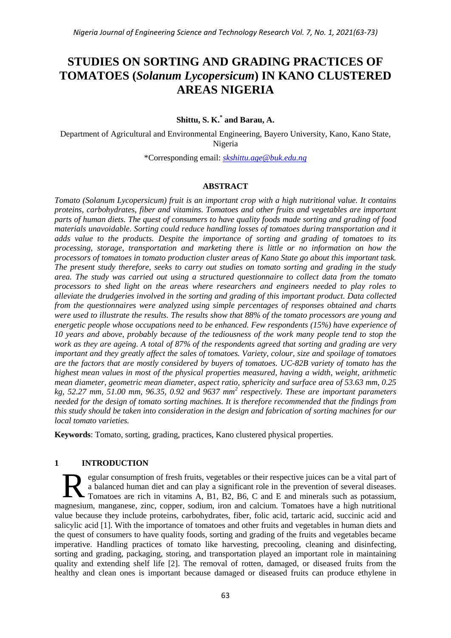# **STUDIES ON SORTING AND GRADING PRACTICES OF TOMATOES (***Solanum Lycopersicum***) IN KANO CLUSTERED AREAS NIGERIA**

# **Shittu, S. K.\* and Barau, A.**

Department of Agricultural and Environmental Engineering, Bayero University, Kano, Kano State, Nigeria

\*Corresponding email: *[skshittu.age@buk.edu.ng](mailto:skshittu.age@buk.edu.ng)*

#### **ABSTRACT**

*Tomato (Solanum Lycopersicum) fruit is an important crop with a high nutritional value. It contains proteins, carbohydrates, fiber and vitamins. Tomatoes and other fruits and vegetables are important parts of human diets. The quest of consumers to have quality foods made sorting and grading of food materials unavoidable. Sorting could reduce handling losses of tomatoes during transportation and it adds value to the products. Despite the importance of sorting and grading of tomatoes to its processing, storage, transportation and marketing there is little or no information on how the processors of tomatoes in tomato production cluster areas of Kano State go about this important task. The present study therefore, seeks to carry out studies on tomato sorting and grading in the study area. The study was carried out using a structured questionnaire to collect data from the tomato processors to shed light on the areas where researchers and engineers needed to play roles to alleviate the drudgeries involved in the sorting and grading of this important product. Data collected from the questionnaires were analyzed using simple percentages of responses obtained and charts were used to illustrate the results. The results show that 88% of the tomato processors are young and energetic people whose occupations need to be enhanced. Few respondents (15%) have experience of 10 years and above, probably because of the tediousness of the work many people tend to stop the work as they are ageing. A total of 87% of the respondents agreed that sorting and grading are very important and they greatly affect the sales of tomatoes. Variety, colour, size and spoilage of tomatoes are the factors that are mostly considered by buyers of tomatoes. UC-82B variety of tomato has the highest mean values in most of the physical properties measured, having a width, weight, arithmetic mean diameter, geometric mean diameter, aspect ratio, sphericity and surface area of 53.63 mm, 0.25 kg, 52.27 mm, 51.00 mm, 96.35, 0.92 and 9637 mm<sup>2</sup> respectively. These are important parameters needed for the design of tomato sorting machines. It is therefore recommended that the findings from this study should be taken into consideration in the design and fabrication of sorting machines for our local tomato varieties.*

**Keywords**: Tomato, sorting, grading, practices, Kano clustered physical properties.

#### **1 INTRODUCTION**

egular consumption of fresh fruits, vegetables or their respective juices can be a vital part of a balanced human diet and can play a significant role in the prevention of several diseases. Tomatoes are rich in vitamins A, B1, B2, B6, C and E and minerals such as potassium, magnesium, manganese, zinc, copper, sodium, iron and calcium. Tomatoes have a high nutritional value because they include proteins, carbohydrates, fiber, folic acid, tartaric acid, succinic acid and salicylic acid [1]. With the importance of tomatoes and other fruits and vegetables in human diets and the quest of consumers to have quality foods, sorting and grading of the fruits and vegetables became imperative. Handling practices of tomato like harvesting, precooling, cleaning and disinfecting, sorting and grading, packaging, storing, and transportation played an important role in maintaining quality and extending shelf life [2]. The removal of rotten, damaged, or diseased fruits from the healthy and clean ones is important because damaged or diseased fruits can produce ethylene in R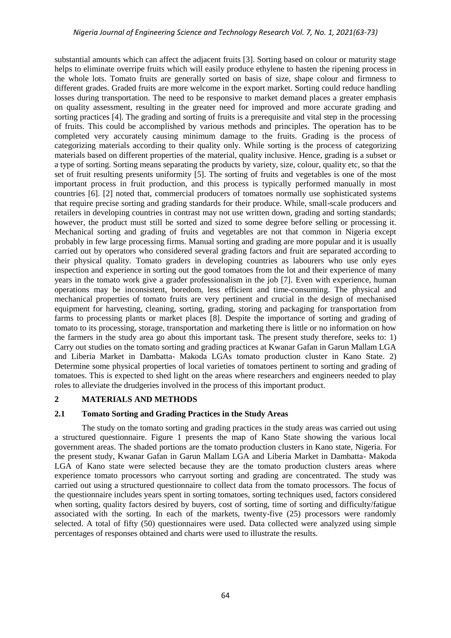substantial amounts which can affect the adjacent fruits [3]. Sorting based on colour or maturity stage helps to eliminate overripe fruits which will easily produce ethylene to hasten the ripening process in the whole lots. Tomato fruits are generally sorted on basis of size, shape colour and firmness to different grades. Graded fruits are more welcome in the export market. Sorting could reduce handling losses during transportation. The need to be responsive to market demand places a greater emphasis on quality assessment, resulting in the greater need for improved and more accurate grading and sorting practices [4]. The grading and sorting of fruits is a prerequisite and vital step in the processing of fruits. This could be accomplished by various methods and principles. The operation has to be completed very accurately causing minimum damage to the fruits. Grading is the process of categorizing materials according to their quality only. While sorting is the process of categorizing materials based on different properties of the material, quality inclusive. Hence, grading is a subset or a type of sorting. Sorting means separating the products by variety, size, colour, quality etc, so that the set of fruit resulting presents uniformity [5]. The sorting of fruits and vegetables is one of the most important process in fruit production, and this process is typically performed manually in most countries [6]. [2] noted that, commercial producers of tomatoes normally use sophisticated systems that require precise sorting and grading standards for their produce. While, small-scale producers and retailers in developing countries in contrast may not use written down, grading and sorting standards; however, the product must still be sorted and sized to some degree before selling or processing it. Mechanical sorting and grading of fruits and vegetables are not that common in Nigeria except probably in few large processing firms. Manual sorting and grading are more popular and it is usually carried out by operators who considered several grading factors and fruit are separated according to their physical quality. Tomato graders in developing countries as labourers who use only eyes inspection and experience in sorting out the good tomatoes from the lot and their experience of many years in the tomato work give a grader professionalism in the job [7]. Even with experience, human operations may be inconsistent, boredom, less efficient and time-consuming. The physical and mechanical properties of tomato fruits are very pertinent and crucial in the design of mechanised equipment for harvesting, cleaning, sorting, grading, storing and packaging for transportation from farms to processing plants or market places [8]. Despite the importance of sorting and grading of tomato to its processing, storage, transportation and marketing there is little or no information on how the farmers in the study area go about this important task. The present study therefore, seeks to: 1) Carry out studies on the tomato sorting and grading practices at Kwanar Gafan in Garun Mallam LGA and Liberia Market in Dambatta- Makoda LGAs tomato production cluster in Kano State. 2) Determine some physical properties of local varieties of tomatoes pertinent to sorting and grading of tomatoes. This is expected to shed light on the areas where researchers and engineers needed to play roles to alleviate the drudgeries involved in the process of this important product.

# **2 MATERIALS AND METHODS**

# **2.1 Tomato Sorting and Grading Practices in the Study Areas**

The study on the tomato sorting and grading practices in the study areas was carried out using a structured questionnaire. Figure 1 presents the map of Kano State showing the various local government areas. The shaded portions are the tomato production clusters in Kano state, Nigeria. For the present study, Kwanar Gafan in Garun Mallam LGA and Liberia Market in Dambatta- Makoda LGA of Kano state were selected because they are the tomato production clusters areas where experience tomato processors who carryout sorting and grading are concentrated. The study was carried out using a structured questionnaire to collect data from the tomato processors. The focus of the questionnaire includes years spent in sorting tomatoes, sorting techniques used, factors considered when sorting, quality factors desired by buyers, cost of sorting, time of sorting and difficulty/fatigue associated with the sorting. In each of the markets, twenty-five (25) processors were randomly selected. A total of fifty (50) questionnaires were used. Data collected were analyzed using simple percentages of responses obtained and charts were used to illustrate the results.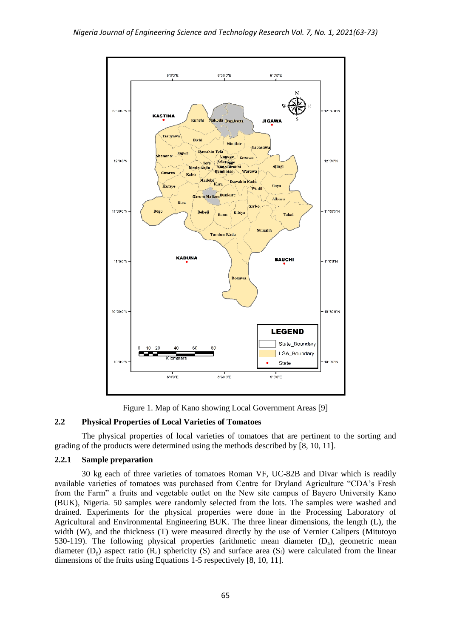

Figure 1. Map of Kano showing Local Government Areas [9]

# **2.2 Physical Properties of Local Varieties of Tomatoes**

The physical properties of local varieties of tomatoes that are pertinent to the sorting and grading of the products were determined using the methods described by [8, 10, 11].

# **2.2.1 Sample preparation**

30 kg each of three varieties of tomatoes Roman VF, UC-82B and Divar which is readily available varieties of tomatoes was purchased from Centre for Dryland Agriculture "CDA's Fresh from the Farm" a fruits and vegetable outlet on the New site campus of Bayero University Kano (BUK), Nigeria. 50 samples were randomly selected from the lots. The samples were washed and drained. Experiments for the physical properties were done in the Processing Laboratory of Agricultural and Environmental Engineering BUK. The three linear dimensions, the length (L), the width (W), and the thickness (T) were measured directly by the use of Vernier Calipers (Mitutoyo 530-119). The following physical properties (arithmetic mean diameter  $(D_a)$ , geometric mean diameter ( $D_g$ ) aspect ratio ( $R_a$ ) sphericity (S) and surface area ( $S_f$ ) were calculated from the linear dimensions of the fruits using Equations 1-5 respectively [8, 10, 11].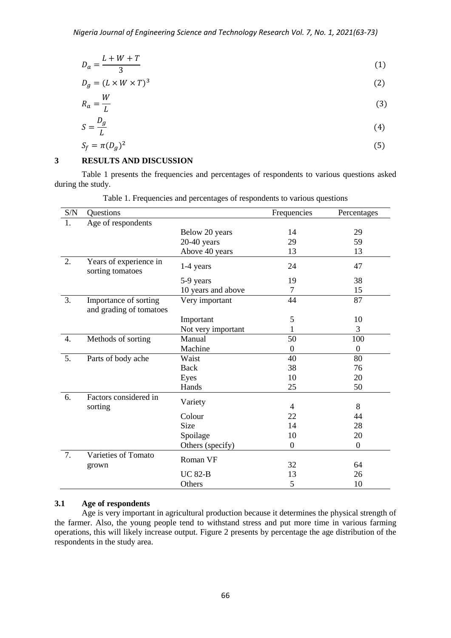$$
D_a = \frac{L + W + T}{3} \tag{1}
$$

$$
D_g = (L \times W \times T)^3 \tag{2}
$$

$$
R_a = \frac{W}{L} \tag{3}
$$

$$
S = \frac{D_g}{L} \tag{4}
$$

$$
S_f = \pi (D_g)^2 \tag{5}
$$

#### **3 RESULTS AND DISCUSSION**

Table 1 presents the frequencies and percentages of respondents to various questions asked during the study.

| S/N              | Questions                                        |                    | Frequencies      | Percentages      |
|------------------|--------------------------------------------------|--------------------|------------------|------------------|
| 1.               | Age of respondents                               |                    |                  |                  |
|                  |                                                  | Below 20 years     | 14               | 29               |
|                  |                                                  | $20-40$ years      | 29               | 59               |
|                  |                                                  | Above 40 years     | 13               | 13               |
| 2.               | Years of experience in<br>sorting tomatoes       | 1-4 years          | 24               | 47               |
|                  |                                                  | 5-9 years          | 19               | 38               |
|                  |                                                  | 10 years and above | 7                | 15               |
| 3.               | Importance of sorting<br>and grading of tomatoes | Very important     | 44               | 87               |
|                  |                                                  | Important          | 5                | 10               |
|                  |                                                  | Not very important | 1                | 3                |
| $\overline{4}$ . | Methods of sorting                               | Manual             | 50               | 100              |
|                  |                                                  | Machine            | $\boldsymbol{0}$ | $\boldsymbol{0}$ |
| 5.               | Parts of body ache                               | Waist              | 40               | 80               |
|                  |                                                  | Back               | 38               | 76               |
|                  |                                                  | Eyes               | 10               | 20               |
|                  |                                                  | Hands              | 25               | 50               |
| 6.               | Factors considered in<br>sorting                 | Variety            | 4                | 8                |
|                  |                                                  | Colour             | 22               | 44               |
|                  |                                                  | Size               | 14               | 28               |
|                  |                                                  | Spoilage           | 10               | 20               |
|                  |                                                  | Others (specify)   | $\boldsymbol{0}$ | $\boldsymbol{0}$ |
| 7.               | Varieties of Tomato<br>grown                     | Roman VF           | 32               | 64               |
|                  |                                                  | <b>UC 82-B</b>     | 13               | 26               |
|                  |                                                  | Others             | 5                | 10               |

Table 1. Frequencies and percentages of respondents to various questions

# **3.1 Age of respondents**

Age is very important in agricultural production because it determines the physical strength of the farmer. Also, the young people tend to withstand stress and put more time in various farming operations, this will likely increase output. Figure 2 presents by percentage the age distribution of the respondents in the study area.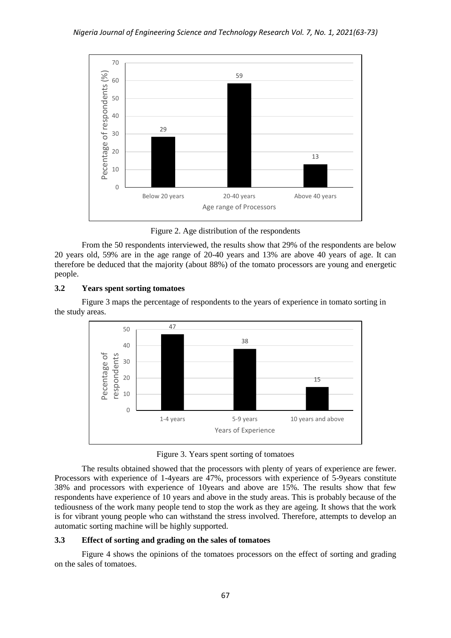

Figure 2. Age distribution of the respondents

From the 50 respondents interviewed, the results show that 29% of the respondents are below 20 years old, 59% are in the age range of 20-40 years and 13% are above 40 years of age. It can therefore be deduced that the majority (about 88%) of the tomato processors are young and energetic people.

# **3.2 Years spent sorting tomatoes**

Figure 3 maps the percentage of respondents to the years of experience in tomato sorting in the study areas.



Figure 3. Years spent sorting of tomatoes

The results obtained showed that the processors with plenty of years of experience are fewer. Processors with experience of 1-4years are 47%, processors with experience of 5-9years constitute 38% and processors with experience of 10years and above are 15%. The results show that few respondents have experience of 10 years and above in the study areas. This is probably because of the tediousness of the work many people tend to stop the work as they are ageing. It shows that the work is for vibrant young people who can withstand the stress involved. Therefore, attempts to develop an automatic sorting machine will be highly supported.

# **3.3 Effect of sorting and grading on the sales of tomatoes**

Figure 4 shows the opinions of the tomatoes processors on the effect of sorting and grading on the sales of tomatoes.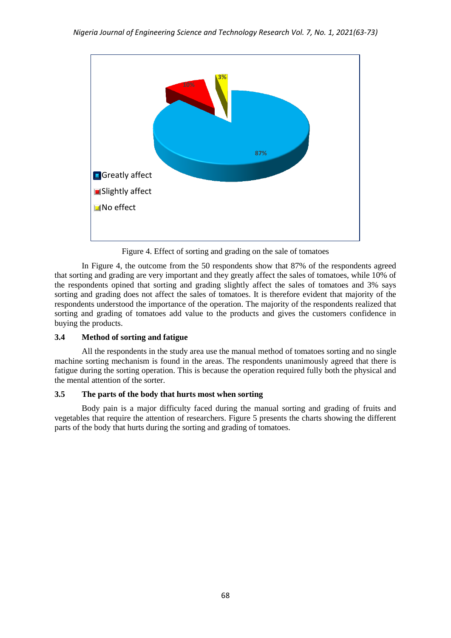

Figure 4. Effect of sorting and grading on the sale of tomatoes

In Figure 4, the outcome from the 50 respondents show that 87% of the respondents agreed that sorting and grading are very important and they greatly affect the sales of tomatoes, while 10% of the respondents opined that sorting and grading slightly affect the sales of tomatoes and 3% says sorting and grading does not affect the sales of tomatoes. It is therefore evident that majority of the respondents understood the importance of the operation. The majority of the respondents realized that sorting and grading of tomatoes add value to the products and gives the customers confidence in buying the products.

# **3.4 Method of sorting and fatigue**

All the respondents in the study area use the manual method of tomatoes sorting and no single machine sorting mechanism is found in the areas. The respondents unanimously agreed that there is fatigue during the sorting operation. This is because the operation required fully both the physical and the mental attention of the sorter.

# **3.5 The parts of the body that hurts most when sorting**

Body pain is a major difficulty faced during the manual sorting and grading of fruits and vegetables that require the attention of researchers. Figure 5 presents the charts showing the different parts of the body that hurts during the sorting and grading of tomatoes.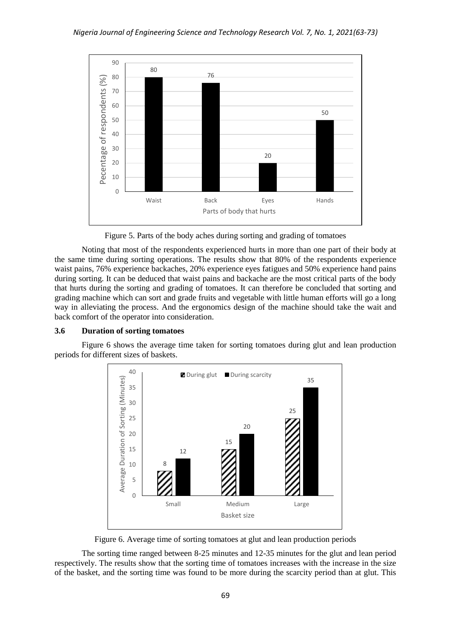

Figure 5. Parts of the body aches during sorting and grading of tomatoes

Noting that most of the respondents experienced hurts in more than one part of their body at the same time during sorting operations. The results show that 80% of the respondents experience waist pains, 76% experience backaches, 20% experience eyes fatigues and 50% experience hand pains during sorting. It can be deduced that waist pains and backache are the most critical parts of the body that hurts during the sorting and grading of tomatoes. It can therefore be concluded that sorting and grading machine which can sort and grade fruits and vegetable with little human efforts will go a long way in alleviating the process. And the ergonomics design of the machine should take the wait and back comfort of the operator into consideration.

#### **3.6 Duration of sorting tomatoes**

Figure 6 shows the average time taken for sorting tomatoes during glut and lean production periods for different sizes of baskets.



Figure 6. Average time of sorting tomatoes at glut and lean production periods

The sorting time ranged between 8-25 minutes and 12-35 minutes for the glut and lean period respectively. The results show that the sorting time of tomatoes increases with the increase in the size of the basket, and the sorting time was found to be more during the scarcity period than at glut. This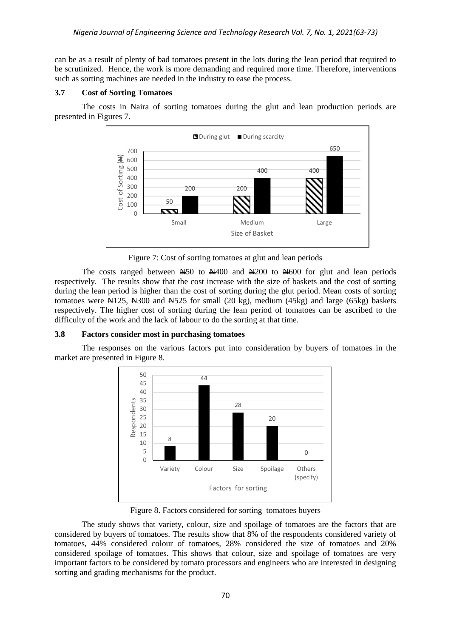can be as a result of plenty of bad tomatoes present in the lots during the lean period that required to be scrutinized. Hence, the work is more demanding and required more time. Therefore, interventions such as sorting machines are needed in the industry to ease the process.

#### **3.7 Cost of Sorting Tomatoes**

The costs in Naira of sorting tomatoes during the glut and lean production periods are presented in Figures 7.



Figure 7: Cost of sorting tomatoes at glut and lean periods

The costs ranged between  $\text{\#}50$  to  $\text{\#}400$  and  $\text{\#}200$  to  $\text{\#}600$  for glut and lean periods respectively. The results show that the cost increase with the size of baskets and the cost of sorting during the lean period is higher than the cost of sorting during the glut period. Mean costs of sorting tomatoes were  $\mathbb{N}125$ ,  $\mathbb{N}300$  and  $\mathbb{N}525$  for small (20 kg), medium (45kg) and large (65kg) baskets respectively. The higher cost of sorting during the lean period of tomatoes can be ascribed to the difficulty of the work and the lack of labour to do the sorting at that time.

#### **3.8 Factors consider most in purchasing tomatoes**

The responses on the various factors put into consideration by buyers of tomatoes in the market are presented in Figure 8.



Figure 8. Factors considered for sorting tomatoes buyers

The study shows that variety, colour, size and spoilage of tomatoes are the factors that are considered by buyers of tomatoes. The results show that 8% of the respondents considered variety of tomatoes, 44% considered colour of tomatoes, 28% considered the size of tomatoes and 20% considered spoilage of tomatoes. This shows that colour, size and spoilage of tomatoes are very important factors to be considered by tomato processors and engineers who are interested in designing sorting and grading mechanisms for the product.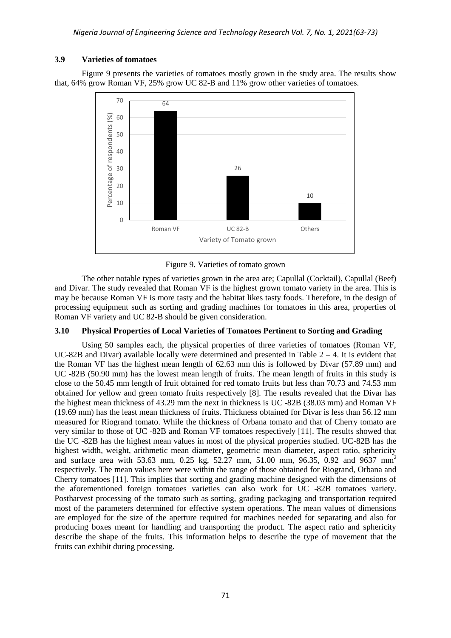#### **3.9 Varieties of tomatoes**

Figure 9 presents the varieties of tomatoes mostly grown in the study area. The results show that, 64% grow Roman VF, 25% grow UC 82-B and 11% grow other varieties of tomatoes.



Figure 9. Varieties of tomato grown

The other notable types of varieties grown in the area are; Capullal (Cocktail), Capullal (Beef) and Divar. The study revealed that Roman VF is the highest grown tomato variety in the area. This is may be because Roman VF is more tasty and the habitat likes tasty foods. Therefore, in the design of processing equipment such as sorting and grading machines for tomatoes in this area, properties of Roman VF variety and UC 82-B should be given consideration.

# **3.10 Physical Properties of Local Varieties of Tomatoes Pertinent to Sorting and Grading**

Using 50 samples each, the physical properties of three varieties of tomatoes (Roman VF, UC-82B and Divar) available locally were determined and presented in Table  $2 - 4$ . It is evident that the Roman VF has the highest mean length of 62.63 mm this is followed by Divar (57.89 mm) and UC -82B (50.90 mm) has the lowest mean length of fruits. The mean length of fruits in this study is close to the 50.45 mm length of fruit obtained for red tomato fruits but less than 70.73 and 74.53 mm obtained for yellow and green tomato fruits respectively [8]. The results revealed that the Divar has the highest mean thickness of 43.29 mm the next in thickness is UC -82B (38.03 mm) and Roman VF (19.69 mm) has the least mean thickness of fruits. Thickness obtained for Divar is less than 56.12 mm measured for Riogrand tomato. While the thickness of Orbana tomato and that of Cherry tomato are very similar to those of UC -82B and Roman VF tomatoes respectively [11]. The results showed that the UC -82B has the highest mean values in most of the physical properties studied. UC-82B has the highest width, weight, arithmetic mean diameter, geometric mean diameter, aspect ratio, sphericity and surface area with 53.63 mm, 0.25 kg, 52.27 mm, 51.00 mm, 96.35, 0.92 and 9637 mm<sup>2</sup> respectively. The mean values here were within the range of those obtained for Riogrand, Orbana and Cherry tomatoes [11]. This implies that sorting and grading machine designed with the dimensions of the aforementioned foreign tomatoes varieties can also work for UC -82B tomatoes variety. Postharvest processing of the tomato such as sorting, grading packaging and transportation required most of the parameters determined for effective system operations. The mean values of dimensions are employed for the size of the aperture required for machines needed for separating and also for producing boxes meant for handling and transporting the product. The aspect ratio and sphericity describe the shape of the fruits. This information helps to describe the type of movement that the fruits can exhibit during processing.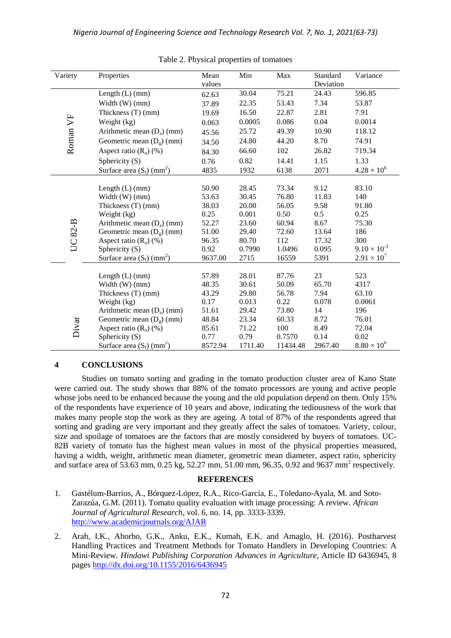| Variety          | Properties                              | Mean    | Min     | Max       | Standard | Variance              |
|------------------|-----------------------------------------|---------|---------|-----------|----------|-----------------------|
|                  |                                         | values  |         | Deviation |          |                       |
|                  | Length $(L)$ (mm)                       | 62.63   | 30.04   | 75.21     | 24.43    | 596.85                |
|                  | Width $(W)$ (mm)                        | 37.89   | 22.35   | 53.43     | 7.34     | 53.87                 |
|                  | Thickness (T) (mm)                      | 19.69   | 16.50   | 22.87     | 2.81     | 7.91                  |
|                  | Weight (kg)                             | 0.063   | 0.0005  | 0.086     | 0.04     | 0.0014                |
|                  | Arithmetic mean $(D_a)$ (mm)            | 45.56   | 25.72   | 49.39     | 10.90    | 118.12                |
| Roman VF         | Geometric mean $(D_g)$ (mm)             | 34.50   | 24.80   | 44.20     | 8.70     | 74.91                 |
|                  | Aspect ratio $(R_a)$ (%)                | 84.30   | 66.60   | 102       | 26.82    | 719.34                |
|                  | Sphericity $(S)$                        | 0.76    | 0.82    | 14.41     | 1.15     | 1.33                  |
|                  | Surface area $(S_f)$ (mm <sup>2</sup> ) | 4835    | 1932    | 6138      | 2071     | $4.28 \times 10^{6}$  |
|                  |                                         |         |         |           |          |                       |
|                  | Length $(L)$ (mm)                       | 50.90   | 28.45   | 73.34     | 9.12     | 83.10                 |
|                  | Width (W) (mm)                          | 53.63   | 30.45   | 76.80     | 11.83    | 140                   |
|                  | Thickness (T) (mm)                      | 38.03   | 20.00   | 56.05     | 9.58     | 91.80                 |
|                  | Weight (kg)                             | 0.25    | 0.001   | 0.50      | 0.5      | 0.25                  |
|                  | Arithmetic mean $(D_a)$ (mm)            | 52.27   | 23.60   | 60.94     | 8.67     | 75.30                 |
| $82 - B$         | Geometric mean $(D_g)$ (mm)             | 51.00   | 29.40   | 72.60     | 13.64    | 186                   |
| $\sum_{i=1}^{n}$ | Aspect ratio $(R_a)$ (%)                | 96.35   | 80.70   | 112       | 17.32    | 300                   |
|                  | Sphericity (S)                          | 0.92    | 0.7990  | 1.0496    | 0.095    | $9.10 \times 10^{-3}$ |
|                  | Surface area $(S_f)$ (mm <sup>2</sup> ) | 9637.00 | 2715    | 16559     | 5391     | $2.91 \times 10^{7}$  |
|                  |                                         |         |         |           |          |                       |
|                  | Length $(L)$ (mm)                       | 57.89   | 28.01   | 87.76     | 23       | 523                   |
|                  | Width (W) (mm)                          | 48.35   | 30.61   | 50.09     | 65.70    | 4317                  |
|                  | Thickness (T) (mm)                      | 43.29   | 29.80   | 56.78     | 7.94     | 63.10                 |
|                  | Weight (kg)                             | 0.17    | 0.013   | 0.22      | 0.078    | 0.0061                |
|                  | Arithmetic mean $(D_a)$ (mm)            | 51.61   | 29.42   | 73.80     | 14       | 196                   |
| Divar            | Geometric mean $(D9)$ (mm)              | 48.84   | 23.34   | 60.33     | 8.72     | 76.01                 |
|                  | Aspect ratio $(R_a)$ (%)                | 85.61   | 71.22   | 100       | 8.49     | 72.04                 |
|                  | Sphericity (S)                          | 0.77    | 0.79    | 0.7570    | 0.14     | 0.02                  |
|                  | Surface area $(S_f)$ (mm <sup>2</sup> ) | 8572.94 | 1711.40 | 11434.48  | 2967.40  | $8.80 \times 10^{6}$  |

Table 2. Physical properties of tomatoes

# **4 CONCLUSIONS**

Studies on tomato sorting and grading in the tomato production cluster area of Kano State were carried out. The study shows that 88% of the tomato processors are young and active people whose jobs need to be enhanced because the young and the old population depend on them. Only 15% of the respondents have experience of 10 years and above, indicating the tediousness of the work that makes many people stop the work as they are ageing. A total of 87% of the respondents agreed that sorting and grading are very important and they greatly affect the sales of tomatoes. Variety, colour, size and spoilage of tomatoes are the factors that are mostly considered by buyers of tomatoes. UC-82B variety of tomato has the highest mean values in most of the physical properties measured, having a width, weight, arithmetic mean diameter, geometric mean diameter, aspect ratio, sphericity and surface area of 53.63 mm, 0.25 kg, 52.27 mm, 51.00 mm, 96.35, 0.92 and 9637 mm<sup>2</sup> respectively.

# **REFERENCES**

- 1. Gastélum-Barrios, A., Bórquez-López, R.A., Rico-García, E., Toledano-Ayala, M. and Soto-Zarazúa, G.M. (2011). Tomato quality evaluation with image processing: A review. *African Journal of Agricultural Research*, vol. 6, no. 14, pp. 3333-3339. <http://www.academicjournals.org/AJAR>
- 2. Arah, I.K., Ahorbo, G.K., Anku, E.K., Kumah, E.K. and Amaglo, H. (2016). Postharvest Handling Practices and Treatment Methods for Tomato Handlers in Developing Countries: A Mini-Review. *Hindawi Publishing Corporation Advances in Agriculture*, Article ID 6436945, 8 pages<http://dx.doi.org/10.1155/2016/6436945>